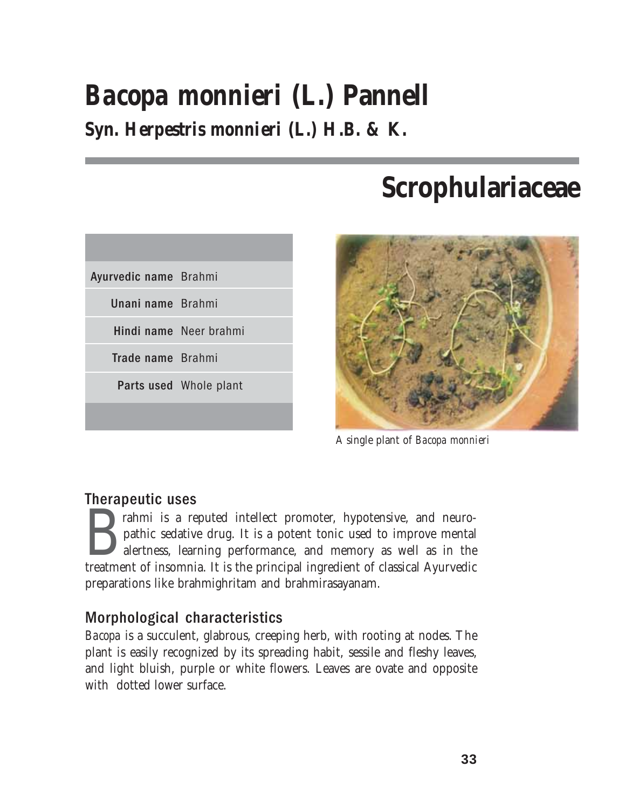# *Bacopa monnieri* **(L.) Pannell Syn.** *Herpestris monnieri* **(L.) H.B. & K.**

# **Scrophulariaceae**





A single plant of *Bacopa monnieri*

## Therapeutic uses

**Expansion is a reputed intellect promoter, hypotensive, and neuro-**<br>pathic sedative drug. It is a potent tonic used to improve mental<br>alertness, learning performance, and memory as well as in the<br>treatment of insomnia. It pathic sedative drug. It is a potent tonic used to improve mental alertness, learning performance, and memory as well as in the preparations like brahmighritam and brahmirasayanam.

# Morphological characteristics

*Bacopa* is a succulent, glabrous, creeping herb, with rooting at nodes. The plant is easily recognized by its spreading habit, sessile and fleshy leaves, and light bluish, purple or white flowers. Leaves are ovate and opposite with dotted lower surface.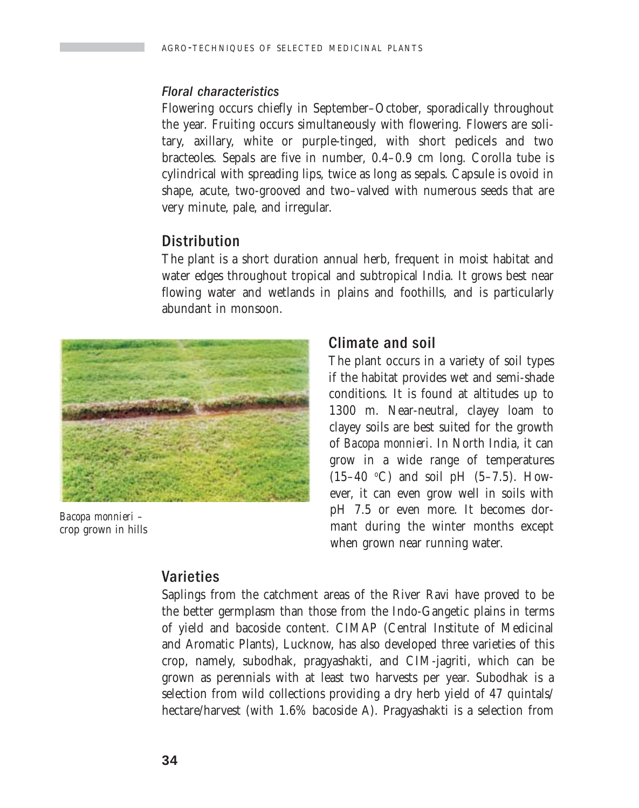#### Floral characteristics

Flowering occurs chiefly in September–October, sporadically throughout the year. Fruiting occurs simultaneously with flowering. Flowers are solitary, axillary, white or purple-tinged, with short pedicels and two bracteoles. Sepals are five in number, 0.4–0.9 cm long. Corolla tube is cylindrical with spreading lips, twice as long as sepals. Capsule is ovoid in shape, acute, two-grooved and two–valved with numerous seeds that are very minute, pale, and irregular.

### **Distribution**

The plant is a short duration annual herb, frequent in moist habitat and water edges throughout tropical and subtropical India. It grows best near flowing water and wetlands in plains and foothills, and is particularly abundant in monsoon.



*Bacopa monnieri –* crop grown in hills

# Climate and soil

The plant occurs in a variety of soil types if the habitat provides wet and semi-shade conditions. It is found at altitudes up to 1300 m. Near-neutral, clayey loam to clayey soils are best suited for the growth of *Bacopa monnieri.* In North India, it can grow in a wide range of temperatures  $(15-40 \degree C)$  and soil pH  $(5-7.5)$ . However, it can even grow well in soils with pH 7.5 or even more. It becomes dormant during the winter months except when grown near running water.

## Varieties

Saplings from the catchment areas of the River Ravi have proved to be the better germplasm than those from the Indo-Gangetic plains in terms of yield and bacoside content. CIMAP (Central Institute of Medicinal and Aromatic Plants), Lucknow, has also developed three varieties of this crop, namely, subodhak, pragyashakti, and CIM-jagriti, which can be grown as perennials with at least two harvests per year. Subodhak is a selection from wild collections providing a dry herb yield of 47 quintals/ hectare/harvest (with 1.6% bacoside A). Pragyashakti is a selection from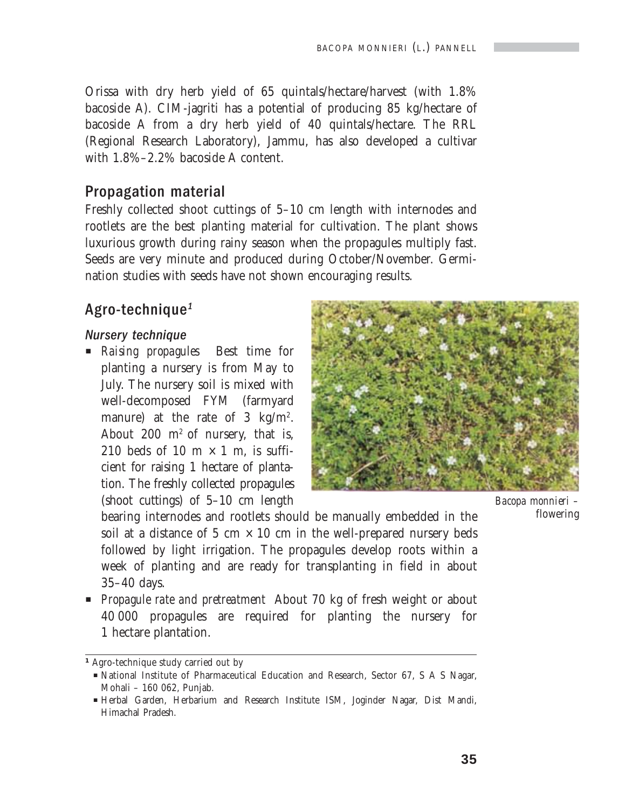Orissa with dry herb yield of 65 quintals/hectare/harvest (with 1.8% bacoside A). CIM-jagriti has a potential of producing 85 kg/hectare of bacoside A from a dry herb yield of 40 quintals/hectare. The RRL (Regional Research Laboratory), Jammu, has also developed a cultivar with 1.8%–2.2% bacoside A content.

### Propagation material

Freshly collected shoot cuttings of 5–10 cm length with internodes and rootlets are the best planting material for cultivation. The plant shows luxurious growth during rainy season when the propagules multiply fast. Seeds are very minute and produced during October/November. Germination studies with seeds have not shown encouraging results.

## Agro-technique<sup>1</sup>

#### Nursery technique

**P** *Raising propagules* Best time for planting a nursery is from May to July. The nursery soil is mixed with well-decomposed FYM (farmyard manure) at the rate of 3 kg/m<sup>2</sup>. About 200  $m^2$  of nursery, that is, 210 beds of 10 m  $\times$  1 m, is sufficient for raising 1 hectare of plantation. The freshly collected propagules (shoot cuttings) of 5–10 cm length



*Bacopa monnieri –* flowering

bearing internodes and rootlets should be manually embedded in the soil at a distance of 5 cm  $\times$  10 cm in the well-prepared nursery beds followed by light irrigation. The propagules develop roots within a week of planting and are ready for transplanting in field in about 35–40 days.

**Propagule rate and pretreatment** About 70 kg of fresh weight or about 40 000 propagules are required for planting the nursery for 1 hectare plantation.

*<sup>1</sup>* Agro-technique study carried out by

P National Institute of Pharmaceutical Education and Research, Sector 67, S A S Nagar, Mohali – 160 062, Punjab.

P Herbal Garden, Herbarium and Research Institute ISM, Joginder Nagar, Dist Mandi, Himachal Pradesh.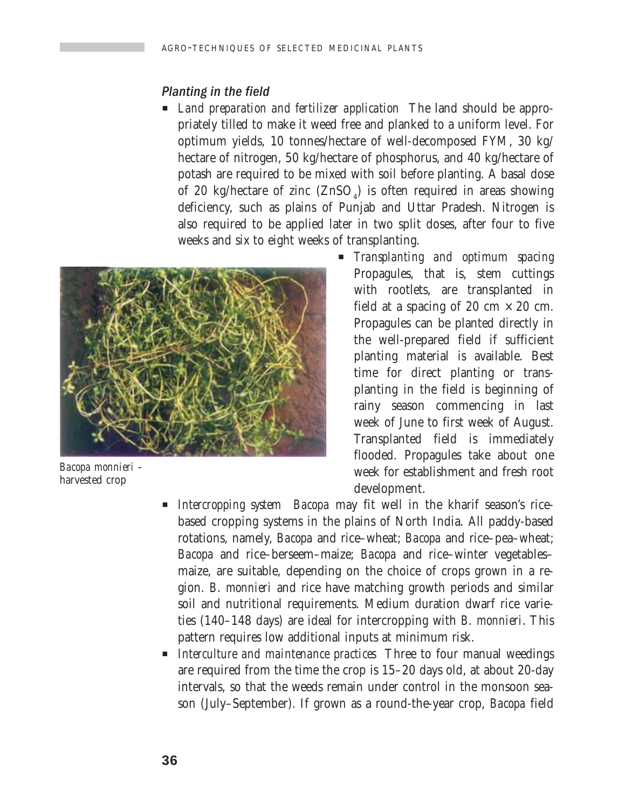#### Planting in the field

**E** *Land preparation and fertilizer application* The land should be appropriately tilled to make it weed free and planked to a uniform level. For optimum yields, 10 tonnes/hectare of well-decomposed FYM, 30 kg/ hectare of nitrogen, 50 kg/hectare of phosphorus, and 40 kg/hectare of potash are required to be mixed with soil before planting. A basal dose of 20 kg/hectare of zinc  $(ZnSO<sub>4</sub>)$  is often required in areas showing deficiency, such as plains of Punjab and Uttar Pradesh. Nitrogen is also required to be applied later in two split doses, after four to five weeks and six to eight weeks of transplanting.



*Bacopa monnieri –* harvested crop

- P *Transplanting and optimum spacing* Propagules, that is, stem cuttings with rootlets, are transplanted in field at a spacing of 20 cm  $\times$  20 cm. Propagules can be planted directly in the well-prepared field if sufficient planting material is available. Best time for direct planting or transplanting in the field is beginning of rainy season commencing in last week of June to first week of August. Transplanted field is immediately flooded. Propagules take about one week for establishment and fresh root development.
- P *Intercropping system Bacopa* may fit well in the kharif season's ricebased cropping systems in the plains of North India. All paddy-based rotations, namely, *Bacopa* and rice–wheat; *Bacopa* and rice–pea–wheat; *Bacopa* and rice–berseem–maize; *Bacopa* and rice–winter vegetables– maize, are suitable, depending on the choice of crops grown in a region. *B. monnieri* and rice have matching growth periods and similar soil and nutritional requirements. Medium duration dwarf rice varieties (140–148 days) are ideal for intercropping with *B. monnieri*. This pattern requires low additional inputs at minimum risk.
- *Interculture and maintenance practices* Three to four manual weedings are required from the time the crop is 15–20 days old, at about 20-day intervals, so that the weeds remain under control in the monsoon season (July–September). If grown as a round-the-year crop, *Bacopa* field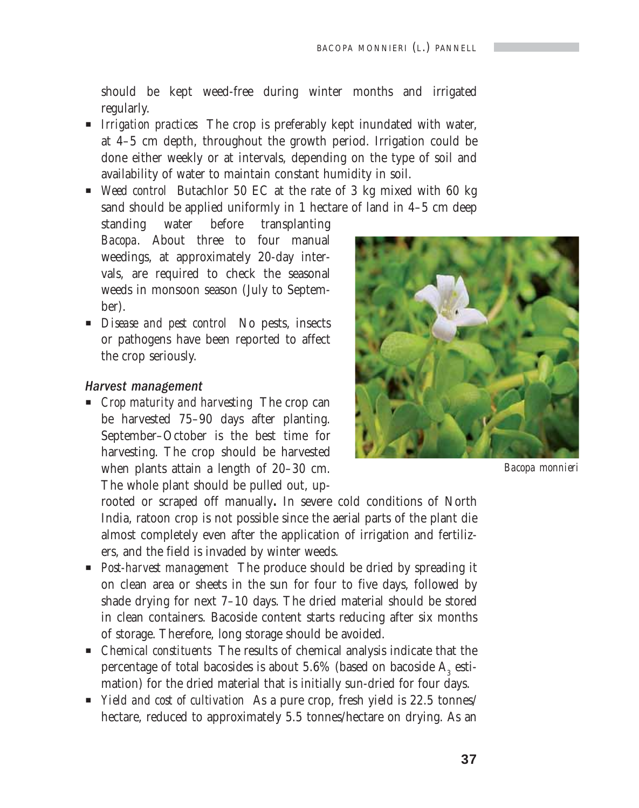should be kept weed-free during winter months and irrigated regularly.

- P *Irrigation practices* The crop is preferably kept inundated with water, at 4–5 cm depth, throughout the growth period. Irrigation could be done either weekly or at intervals, depending on the type of soil and availability of water to maintain constant humidity in soil.
- P *Weed control* Butachlor 50 EC at the rate of 3 kg mixed with 60 kg sand should be applied uniformly in 1 hectare of land in 4–5 cm deep

standing water before transplanting *Bacopa*. About three to four manual weedings, at approximately 20-day intervals, are required to check the seasonal weeds in monsoon season (July to September).

**P** *Disease and pest control* No pests, insects or pathogens have been reported to affect the crop seriously.

#### Harvest management

P *Crop maturity and harvesting* The crop can be harvested 75–90 days after planting. September–October is the best time for harvesting. The crop should be harvested when plants attain a length of 20–30 cm. The whole plant should be pulled out, up-



*Bacopa monnieri*

rooted or scraped off manually**.** In severe cold conditions of North India, ratoon crop is not possible since the aerial parts of the plant die almost completely even after the application of irrigation and fertilizers, and the field is invaded by winter weeds.

- **Post-harvest management** The produce should be dried by spreading it on clean area or sheets in the sun for four to five days, followed by shade drying for next 7–10 days. The dried material should be stored in clean containers. Bacoside content starts reducing after six months of storage. Therefore, long storage should be avoided.
- P *Chemical constituents* The results of chemical analysis indicate that the percentage of total bacosides is about 5.6% (based on bacoside  $\mathrm{A}_\mathrm{3}$  estimation) for the dried material that is initially sun-dried for four days.
- **P** *Yield and cost of cultivation* As a pure crop, fresh yield is 22.5 tonnes/ hectare, reduced to approximately 5.5 tonnes/hectare on drying. As an